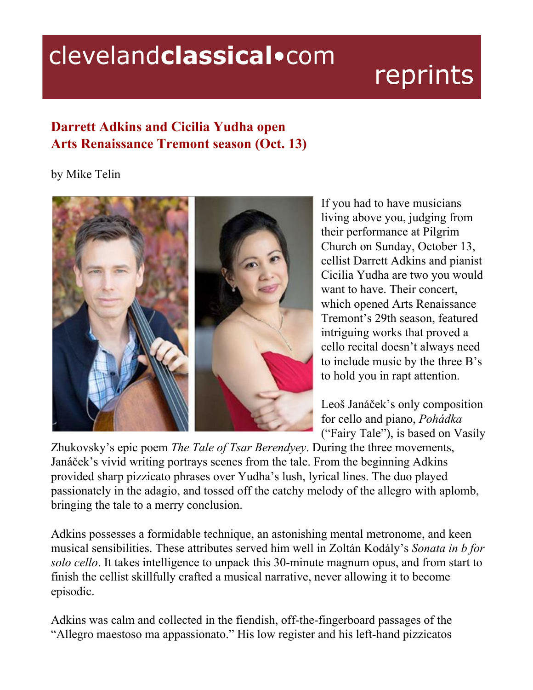## clevelandclassical.com

## reprints

## **Darrett Adkins and Cicilia Yudha open Arts Renaissance Tremont season (Oct. 13)**

## by Mike Telin



If you had to have musicians living above you, judging from their performance at Pilgrim Church on Sunday, October 13, cellist Darrett Adkins and pianist Cicilia Yudha are two you would want to have. Their concert, which opened Arts Renaissance Tremont's 29th season, featured intriguing works that proved a cello recital doesn't always need to include music by the three B's to hold you in rapt attention.

Leoš Janáček's only composition for cello and piano, *Pohádka* ("Fairy Tale"), is based on Vasily

Zhukovsky's epic poem *The Tale of Tsar Berendyey*. During the three movements, Janáček's vivid writing portrays scenes from the tale. From the beginning Adkins provided sharp pizzicato phrases over Yudha's lush, lyrical lines. The duo played passionately in the adagio, and tossed off the catchy melody of the allegro with aplomb, bringing the tale to a merry conclusion.

Adkins possesses a formidable technique, an astonishing mental metronome, and keen musical sensibilities. These attributes served him well in Zoltán Kodály's *Sonata in b for solo cello*. It takes intelligence to unpack this 30-minute magnum opus, and from start to finish the cellist skillfully crafted a musical narrative, never allowing it to become episodic.

Adkins was calm and collected in the fiendish, off-the-fingerboard passages of the "Allegro maestoso ma appassionato." His low register and his left-hand pizzicatos